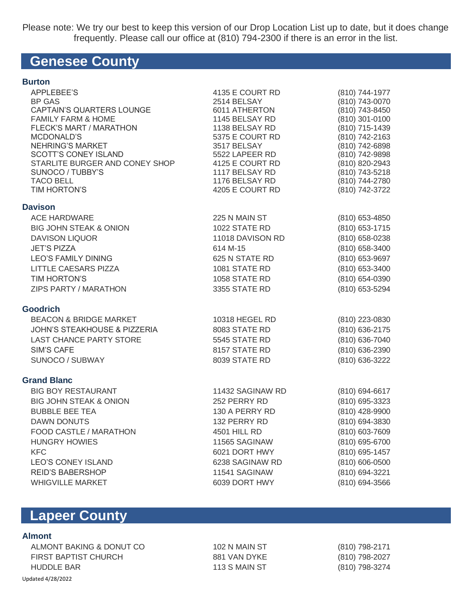Please note: We try our best to keep this version of our Drop Location List up to date, but it does change frequently. Please call our office at (810) 794-2300 if there is an error in the list.

## **Genesee County**

| APPLEBEE'S<br><b>BP GAS</b><br>CAPTAIN'S QUARTERS LOUNGE<br><b>FAMILY FARM &amp; HOME</b><br><b>FLECK'S MART / MARATHON</b><br>MCDONALD'S<br><b>NEHRING'S MARKET</b><br><b>SCOTT'S CONEY ISLAND</b><br>STARLITE BURGER AND CONEY SHOP<br>SUNOCO / TUBBY'S<br><b>TACO BELL</b><br>TIM HORTON'S | 4135 E COURT RD<br>2514 BELSAY<br>6011 ATHERTON<br>1145 BELSAY RD<br>1138 BELSAY RD<br>5375 E COURT RD<br>3517 BELSAY<br>5522 LAPEER RD<br>4125 E COURT RD<br>1117 BELSAY RD<br>1176 BELSAY RD<br>4205 E COURT RD | (810) 744-1977<br>(810) 743-0070<br>(810) 743-8450<br>(810) 301-0100<br>(810) 715-1439<br>(810) 742-2163<br>(810) 742-6898<br>(810) 742-9898<br>(810) 820-2943<br>(810) 743-5218<br>(810) 744-2780<br>(810) 742-3722 |
|-----------------------------------------------------------------------------------------------------------------------------------------------------------------------------------------------------------------------------------------------------------------------------------------------|-------------------------------------------------------------------------------------------------------------------------------------------------------------------------------------------------------------------|----------------------------------------------------------------------------------------------------------------------------------------------------------------------------------------------------------------------|
| <b>Davison</b>                                                                                                                                                                                                                                                                                |                                                                                                                                                                                                                   |                                                                                                                                                                                                                      |
| <b>ACE HARDWARE</b>                                                                                                                                                                                                                                                                           | 225 N MAIN ST                                                                                                                                                                                                     | (810) 653-4850                                                                                                                                                                                                       |
| <b>BIG JOHN STEAK &amp; ONION</b>                                                                                                                                                                                                                                                             | 1022 STATE RD                                                                                                                                                                                                     | (810) 653-1715                                                                                                                                                                                                       |
| <b>DAVISON LIQUOR</b>                                                                                                                                                                                                                                                                         | 11018 DAVISON RD                                                                                                                                                                                                  | $(810)$ 658-0238                                                                                                                                                                                                     |
| <b>JET'S PIZZA</b>                                                                                                                                                                                                                                                                            | 614 M-15                                                                                                                                                                                                          | (810) 658-3400                                                                                                                                                                                                       |
| <b>LEO'S FAMILY DINING</b>                                                                                                                                                                                                                                                                    | 625 N STATE RD                                                                                                                                                                                                    | (810) 653-9697                                                                                                                                                                                                       |
| LITTLE CAESARS PIZZA                                                                                                                                                                                                                                                                          | 1081 STATE RD                                                                                                                                                                                                     | (810) 653-3400                                                                                                                                                                                                       |
| TIM HORTON'S                                                                                                                                                                                                                                                                                  | 1058 STATE RD                                                                                                                                                                                                     | (810) 654-0390                                                                                                                                                                                                       |
| ZIPS PARTY / MARATHON                                                                                                                                                                                                                                                                         | 3355 STATE RD                                                                                                                                                                                                     | (810) 653-5294                                                                                                                                                                                                       |
| Goodrich                                                                                                                                                                                                                                                                                      |                                                                                                                                                                                                                   |                                                                                                                                                                                                                      |
| <b>BEACON &amp; BRIDGE MARKET</b>                                                                                                                                                                                                                                                             | 10318 HEGEL RD                                                                                                                                                                                                    | (810) 223-0830                                                                                                                                                                                                       |
| <b>JOHN'S STEAKHOUSE &amp; PIZZERIA</b>                                                                                                                                                                                                                                                       | 8083 STATE RD                                                                                                                                                                                                     | (810) 636-2175                                                                                                                                                                                                       |
| <b>LAST CHANCE PARTY STORE</b>                                                                                                                                                                                                                                                                | 5545 STATE RD                                                                                                                                                                                                     | (810) 636-7040                                                                                                                                                                                                       |
| <b>SIM'S CAFE</b>                                                                                                                                                                                                                                                                             | 8157 STATE RD                                                                                                                                                                                                     | (810) 636-2390                                                                                                                                                                                                       |
| SUNOCO / SUBWAY                                                                                                                                                                                                                                                                               | 8039 STATE RD                                                                                                                                                                                                     | (810) 636-3222                                                                                                                                                                                                       |
|                                                                                                                                                                                                                                                                                               |                                                                                                                                                                                                                   |                                                                                                                                                                                                                      |
| <b>Grand Blanc</b>                                                                                                                                                                                                                                                                            |                                                                                                                                                                                                                   |                                                                                                                                                                                                                      |
| <b>BIG BOY RESTAURANT</b>                                                                                                                                                                                                                                                                     | 11432 SAGINAW RD                                                                                                                                                                                                  | (810) 694-6617                                                                                                                                                                                                       |
| <b>BIG JOHN STEAK &amp; ONION</b><br><b>BUBBLE BEE TEA</b>                                                                                                                                                                                                                                    | 252 PERRY RD<br>130 A PERRY RD                                                                                                                                                                                    | (810) 695-3323                                                                                                                                                                                                       |
| <b>DAWN DONUTS</b>                                                                                                                                                                                                                                                                            | 132 PERRY RD                                                                                                                                                                                                      | (810) 428-9900<br>(810) 694-3830                                                                                                                                                                                     |
| FOOD CASTLE / MARATHON                                                                                                                                                                                                                                                                        | 4501 HILL RD                                                                                                                                                                                                      | (810) 603-7609                                                                                                                                                                                                       |
| <b>HUNGRY HOWIES</b>                                                                                                                                                                                                                                                                          | 11565 SAGINAW                                                                                                                                                                                                     | (810) 695-6700                                                                                                                                                                                                       |
| <b>KFC</b>                                                                                                                                                                                                                                                                                    | 6021 DORT HWY                                                                                                                                                                                                     | (810) 695-1457                                                                                                                                                                                                       |
| <b>LEO'S CONEY ISLAND</b>                                                                                                                                                                                                                                                                     | 6238 SAGINAW RD                                                                                                                                                                                                   | (810) 606-0500                                                                                                                                                                                                       |
| <b>REID'S BABERSHOP</b>                                                                                                                                                                                                                                                                       | 11541 SAGINAW                                                                                                                                                                                                     | (810) 694-3221                                                                                                                                                                                                       |
| <b>WHIGVILLE MARKET</b>                                                                                                                                                                                                                                                                       | 6039 DORT HWY                                                                                                                                                                                                     | (810) 694-3566                                                                                                                                                                                                       |
|                                                                                                                                                                                                                                                                                               |                                                                                                                                                                                                                   |                                                                                                                                                                                                                      |

# **Lapeer County**

### **Almont**

Updated 4/28/2022 ALMONT BAKING & DONUT CO FIRST BAPTIST CHURCH HUDDLE BAR

102 N MAIN ST 881 VAN DYKE 113 S MAIN ST

(810) 798-2171 (810) 798-2027 (810) 798-3274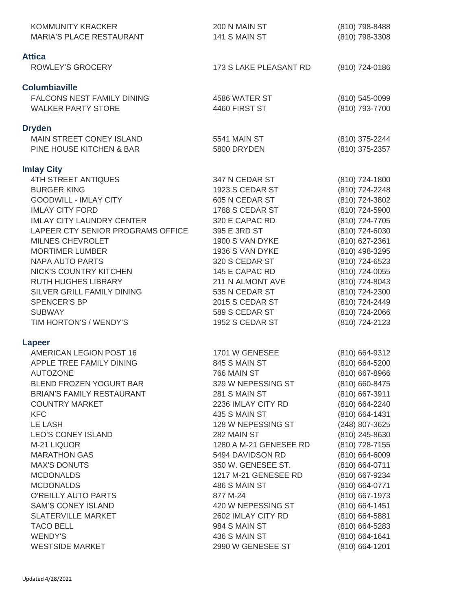| KOMMUNITY KRACKER<br><b>MARIA'S PLACE RESTAURANT</b>           | 200 N MAIN ST<br>141 S MAIN ST    | (810) 798-8488<br>(810) 798-3308 |
|----------------------------------------------------------------|-----------------------------------|----------------------------------|
| <b>Attica</b>                                                  |                                   |                                  |
| <b>ROWLEY'S GROCERY</b>                                        | 173 S LAKE PLEASANT RD            | (810) 724-0186                   |
| <b>Columbiaville</b>                                           |                                   |                                  |
| <b>FALCONS NEST FAMILY DINING</b><br><b>WALKER PARTY STORE</b> | 4586 WATER ST<br>4460 FIRST ST    | (810) 545-0099<br>(810) 793-7700 |
|                                                                |                                   |                                  |
| <b>Dryden</b><br>MAIN STREET CONEY ISLAND                      | 5541 MAIN ST                      | (810) 375-2244                   |
| PINE HOUSE KITCHEN & BAR                                       | 5800 DRYDEN                       | (810) 375-2357                   |
| <b>Imlay City</b>                                              |                                   |                                  |
| <b>4TH STREET ANTIQUES</b>                                     | 347 N CEDAR ST                    | (810) 724-1800                   |
| <b>BURGER KING</b>                                             | 1923 S CEDAR ST                   | (810) 724-2248                   |
| <b>GOODWILL - IMLAY CITY</b>                                   | 605 N CEDAR ST                    | (810) 724-3802                   |
| <b>IMLAY CITY FORD</b>                                         | 1788 S CEDAR ST                   | (810) 724-5900                   |
| <b>IMLAY CITY LAUNDRY CENTER</b>                               | 320 E CAPAC RD                    | (810) 724-7705                   |
| LAPEER CTY SENIOR PROGRAMS OFFICE                              | 395 E 3RD ST                      | (810) 724-6030                   |
| MILNES CHEVROLET                                               | 1900 S VAN DYKE                   | (810) 627-2361                   |
| <b>MORTIMER LUMBER</b>                                         | 1936 S VAN DYKE                   | (810) 498-3295                   |
| <b>NAPA AUTO PARTS</b>                                         | 320 S CEDAR ST                    | (810) 724-6523                   |
| NICK'S COUNTRY KITCHEN                                         | 145 E CAPAC RD                    | (810) 724-0055                   |
| <b>RUTH HUGHES LIBRARY</b>                                     | 211 N ALMONT AVE                  | (810) 724-8043                   |
| SILVER GRILL FAMILY DINING                                     | 535 N CEDAR ST                    | (810) 724-2300                   |
| SPENCER'S BP                                                   | <b>2015 S CEDAR ST</b>            | (810) 724-2449                   |
| <b>SUBWAY</b><br>TIM HORTON'S / WENDY'S                        | 589 S CEDAR ST<br>1952 S CEDAR ST | (810) 724-2066<br>(810) 724-2123 |
|                                                                |                                   |                                  |
| Lapeer<br>AMERICAN LEGION POST 16                              | 1701 W GENESEE                    |                                  |
| APPLE TREE FAMILY DINING                                       | 845 S MAIN ST                     | (810) 664-9312<br>(810) 664-5200 |
| <b>AUTOZONE</b>                                                | 766 MAIN ST                       | $(810)$ 667-8966                 |
| BLEND FROZEN YOGURT BAR                                        | 329 W NEPESSING ST                | (810) 660-8475                   |
| <b>BRIAN'S FAMILY RESTAURANT</b>                               | 281 S MAIN ST                     | (810) 667-3911                   |
| <b>COUNTRY MARKET</b>                                          | 2236 IMLAY CITY RD                | (810) 664-2240                   |
| <b>KFC</b>                                                     | 435 S MAIN ST                     | (810) 664-1431                   |
| <b>LE LASH</b>                                                 | 128 W NEPESSING ST                | (248) 807-3625                   |
| <b>LEO'S CONEY ISLAND</b>                                      | 282 MAIN ST                       | (810) 245-8630                   |
| M-21 LIQUOR                                                    | 1280 A M-21 GENESEE RD            | (810) 728-7155                   |
| <b>MARATHON GAS</b>                                            | 5494 DAVIDSON RD                  | $(810)$ 664-6009                 |
| <b>MAX'S DONUTS</b>                                            | 350 W. GENESEE ST.                | (810) 664-0711                   |
| <b>MCDONALDS</b>                                               | 1217 M-21 GENESEE RD              | (810) 667-9234                   |
| <b>MCDONALDS</b>                                               | 486 S MAIN ST                     | (810) 664-0771                   |
| O'REILLY AUTO PARTS                                            | 877 M-24                          | (810) 667-1973                   |
| <b>SAM'S CONEY ISLAND</b>                                      | 420 W NEPESSING ST                | $(810)$ 664-1451                 |
| <b>SLATERVILLE MARKET</b>                                      | 2602 IMLAY CITY RD                | $(810)$ 664-5881                 |
| <b>TACO BELL</b>                                               | 984 S MAIN ST                     | (810) 664-5283                   |
| <b>WENDY'S</b>                                                 | 436 S MAIN ST                     | (810) 664-1641                   |
| <b>WESTSIDE MARKET</b>                                         | 2990 W GENESEE ST                 | (810) 664-1201                   |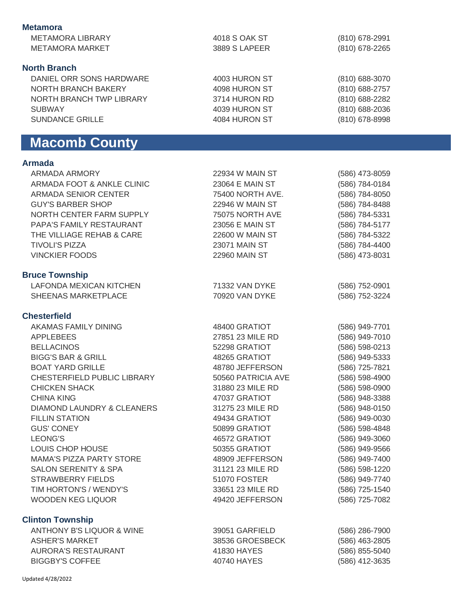| <b>Metamora</b>                                                 |                    |                  |
|-----------------------------------------------------------------|--------------------|------------------|
| <b>METAMORA LIBRARY</b>                                         | 4018 S OAK ST      | (810) 678-2991   |
| <b>METAMORA MARKET</b>                                          | 3889 S LAPEER      | (810) 678-2265   |
|                                                                 |                    |                  |
| <b>North Branch</b>                                             |                    |                  |
| DANIEL ORR SONS HARDWARE                                        | 4003 HURON ST      | (810) 688-3070   |
| NORTH BRANCH BAKERY                                             | 4098 HURON ST      |                  |
|                                                                 |                    | (810) 688-2757   |
| NORTH BRANCH TWP LIBRARY                                        | 3714 HURON RD      | (810) 688-2282   |
| <b>SUBWAY</b>                                                   | 4039 HURON ST      | (810) 688-2036   |
| <b>SUNDANCE GRILLE</b>                                          | 4084 HURON ST      | (810) 678-8998   |
| <b>Macomb County</b>                                            |                    |                  |
|                                                                 |                    |                  |
| <b>Armada</b>                                                   |                    |                  |
| ARMADA ARMORY                                                   | 22934 W MAIN ST    | (586) 473-8059   |
| ARMADA FOOT & ANKLE CLINIC                                      | 23064 E MAIN ST    | (586) 784-0184   |
| ARMADA SENIOR CENTER                                            | 75400 NORTH AVE.   | (586) 784-8050   |
| <b>GUY'S BARBER SHOP</b>                                        | 22946 W MAIN ST    | (586) 784-8488   |
| NORTH CENTER FARM SUPPLY                                        | 75075 NORTH AVE    | (586) 784-5331   |
| PAPA'S FAMILY RESTAURANT                                        | 23056 E MAIN ST    | (586) 784-5177   |
| THE VILLIAGE REHAB & CARE                                       | 22600 W MAIN ST    | (586) 784-5322   |
| <b>TIVOLI'S PIZZA</b>                                           | 23071 MAIN ST      | (586) 784-4400   |
| <b>VINCKIER FOODS</b>                                           | 22960 MAIN ST      | (586) 473-8031   |
|                                                                 |                    |                  |
| <b>Bruce Township</b>                                           |                    |                  |
| <b>LAFONDA MEXICAN KITCHEN</b>                                  | 71332 VAN DYKE     | (586) 752-0901   |
| SHEENAS MARKETPLACE                                             | 70920 VAN DYKE     | (586) 752-3224   |
| <b>Chesterfield</b>                                             |                    |                  |
| AKAMAS FAMILY DINING                                            |                    |                  |
|                                                                 | 48400 GRATIOT      | (586) 949-7701   |
| <b>APPLEBEES</b>                                                | 27851 23 MILE RD   | (586) 949-7010   |
| <b>BELLACINOS</b>                                               | 52298 GRATIOT      | (586) 598-0213   |
| <b>BIGG'S BAR &amp; GRILL</b>                                   | 48265 GRATIOT      | (586) 949-5333   |
| <b>BOAT YARD GRILLE</b>                                         | 48780 JEFFERSON    | (586) 725-7821   |
| CHESTERFIELD PUBLIC LIBRARY                                     | 50560 PATRICIA AVE | (586) 598-4900   |
| <b>CHICKEN SHACK</b>                                            | 31880 23 MILE RD   | (586) 598-0900   |
| <b>CHINA KING</b>                                               | 47037 GRATIOT      | (586) 948-3388   |
| DIAMOND LAUNDRY & CLEANERS                                      | 31275 23 MILE RD   | (586) 948-0150   |
| <b>FILLIN STATION</b>                                           | 49434 GRATIOT      | (586) 949-0030   |
| <b>GUS' CONEY</b>                                               | 50899 GRATIOT      | (586) 598-4848   |
| <b>LEONG'S</b>                                                  | 46572 GRATIOT      | (586) 949-3060   |
| LOUIS CHOP HOUSE                                                | 50355 GRATIOT      | (586) 949-9566   |
| <b>MAMA'S PIZZA PARTY STORE</b>                                 | 48909 JEFFERSON    | (586) 949-7400   |
| SALON SERENITY & SPA                                            | 31121 23 MILE RD   | (586) 598-1220   |
| <b>STRAWBERRY FIELDS</b>                                        | 51070 FOSTER       | (586) 949-7740   |
| TIM HORTON'S / WENDY'S                                          | 33651 23 MILE RD   | (586) 725-1540   |
| WOODEN KEG LIQUOR                                               | 49420 JEFFERSON    | (586) 725-7082   |
|                                                                 |                    |                  |
| <b>Clinton Township</b><br><b>ANTHONY B'S LIQUOR &amp; WINE</b> |                    |                  |
|                                                                 | 39051 GARFIELD     | $(586)$ 286-7900 |
| <b>ASHER'S MARKET</b>                                           | 38536 GROESBECK    | (586) 463-2805   |
| <b>AURORA'S RESTAURANT</b>                                      | 41830 HAYES        | (586) 855-5040   |
| <b>BIGGBY'S COFFEE</b>                                          | 40740 HAYES        | (586) 412-3635   |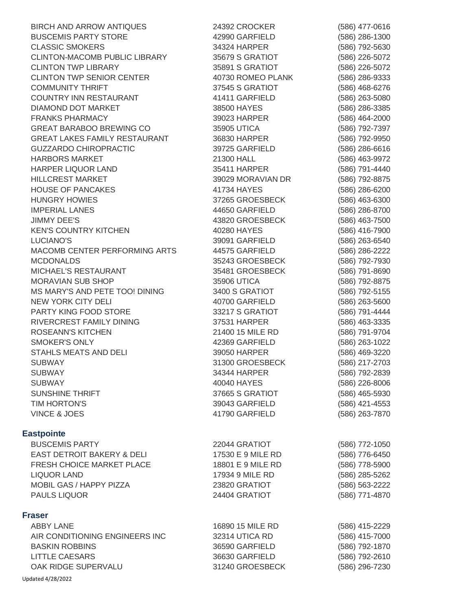BIRCH AND ARROW ANTIQUES BUSCEMIS PARTY STORE CLASSIC SMOKERS CLINTON-MACOMB PUBLIC LIBRARY CLINTON TWP LIBRARY CLINTON TWP SENIOR CENTER COMMUNITY THRIFT COUNTRY INN RESTAURANT DIAMOND DOT MARKET FRANKS PHARMACY GREAT BARABOO BREWING CO GREAT LAKES FAMILY RESTAURANT GUZZARDO CHIROPRACTIC HARBORS MARKET HARPER LIQUOR LAND HILLCREST MARKET HOUSE OF PANCAKES HUNGRY HOWIES IMPERIAL LANES JIMMY DEE'S KEN'S COUNTRY KITCHEN LUCIANO'S MACOMB CENTER PERFORMING ARTS MCDONALDS MICHAEL'S RESTAURANT MORAVIAN SUB SHOP MS MARY'S AND PETE TOO! DINING NEW YORK CITY DELI PARTY KING FOOD STORE RIVERCREST FAMILY DINING ROSEANN'S KITCHEN SMOKER'S ONLY STAHLS MEATS AND DELI SUBWAY SUBWAY SUBWAY SUNSHINE THRIFT TIM HORTON'S VINCE & JOES 24392 CROCKER 42990 GARFIELD 34324 HARPER 35679 S GRATIOT 35891 S GRATIOT 40730 ROMEO PLANK 37545 S GRATIOT 41411 GARFIELD 38500 HAYES 39023 HARPER 35905 UTICA 36830 HARPER 39725 GARFIELD 21300 HALL 35411 HARPER 39029 MORAVIAN DR 41734 HAYES 37265 GROESBECK 44650 GARFIELD 43820 GROESBECK 40280 HAYES 39091 GARFIELD 44575 GARFIELD 35243 GROESBECK 35481 GROESBECK 35906 UTICA 3400 S GRATIOT 40700 GARFIELD 33217 S GRATIOT 37531 HARPER 21400 15 MILE RD 42369 GARFIELD 39050 HARPER 31300 GROESBECK 34344 HARPER 40040 HAYES 37665 S GRATIOT 39043 GARFIELD 41790 GARFIELD **Eastpointe** BUSCEMIS PARTY EAST DETROIT BAKERY & DELI FRESH CHOICE MARKET PLACE LIQUOR LAND MOBIL GAS / HAPPY PIZZA PAULS LIQUOR 22044 GRATIOT 17530 E 9 MILE RD 18801 E 9 MILE RD 17934 9 MILE RD 23820 GRATIOT 24404 GRATIOT **Fraser** ABBY LANE AIR CONDITIONING ENGINEERS INC BASKIN ROBBINS LITTLE CAESARS 16890 15 MILE RD 32314 UTICA RD 36590 GARFIELD 36630 GARFIELD

31240 GROESBECK

(586) 477-0616 (586) 286-1300 (586) 792-5630 (586) 226-5072 (586) 226-5072 (586) 286-9333 (586) 468-6276 (586) 263-5080 (586) 286-3385 (586) 464-2000 (586) 792-7397 (586) 792-9950 (586) 286-6616 (586) 463-9972 (586) 791-4440 (586) 792-8875 (586) 286-6200 (586) 463-6300 (586) 286-8700 (586) 463-7500 (586) 416-7900 (586) 263-6540 (586) 286-2222 (586) 792-7930 (586) 791-8690 (586) 792-8875 (586) 792-5155 (586) 263-5600 (586) 791-4444 (586) 463-3335 (586) 791-9704 (586) 263-1022 (586) 469-3220 (586) 217-2703 (586) 792-2839 (586) 226-8006 (586) 465-5930 (586) 421-4553 (586) 263-7870 (586) 772-1050 (586) 776-6450 (586) 778-5900 (586) 285-5262 (586) 563-2222 (586) 771-4870 (586) 415-2229 (586) 415-7000 (586) 792-1870 (586) 792-2610 (586) 296-7230

Updated 4/28/2022

OAK RIDGE SUPERVALU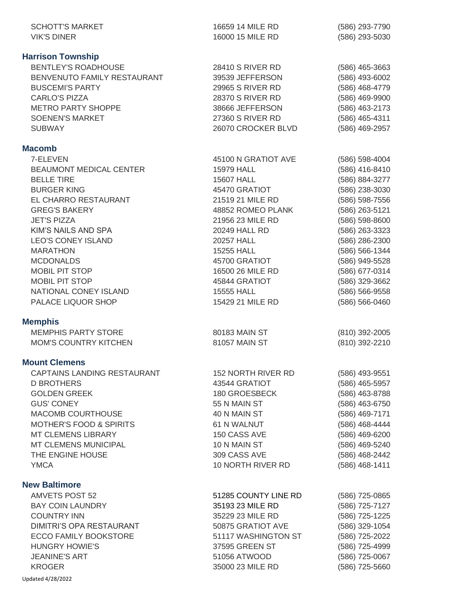| <b>SCHOTT'S MARKET</b><br><b>VIK'S DINER</b>                                                                                                                                                                                                                                                                                                                             | 16659 14 MILE RD<br>16000 15 MILE RD                                                                                                                                                                                                                                                    | (586) 293-7790<br>(586) 293-5030                                                                                                                                                                                                                                           |
|--------------------------------------------------------------------------------------------------------------------------------------------------------------------------------------------------------------------------------------------------------------------------------------------------------------------------------------------------------------------------|-----------------------------------------------------------------------------------------------------------------------------------------------------------------------------------------------------------------------------------------------------------------------------------------|----------------------------------------------------------------------------------------------------------------------------------------------------------------------------------------------------------------------------------------------------------------------------|
| <b>Harrison Township</b><br><b>BENTLEY'S ROADHOUSE</b><br>BENVENUTO FAMILY RESTAURANT<br><b>BUSCEMI'S PARTY</b><br><b>CARLO'S PIZZA</b><br><b>METRO PARTY SHOPPE</b><br><b>SOENEN'S MARKET</b><br><b>SUBWAY</b>                                                                                                                                                          | 28410 S RIVER RD<br>39539 JEFFERSON<br>29965 S RIVER RD<br>28370 S RIVER RD<br>38666 JEFFERSON<br>27360 S RIVER RD<br>26070 CROCKER BLVD                                                                                                                                                | $(586)$ 465-3663<br>(586) 493-6002<br>(586) 468-4779<br>(586) 469-9900<br>(586) 463-2173<br>(586) 465-4311<br>(586) 469-2957                                                                                                                                               |
| <b>Macomb</b><br>7-ELEVEN<br><b>BEAUMONT MEDICAL CENTER</b><br><b>BELLE TIRE</b><br><b>BURGER KING</b><br>EL CHARRO RESTAURANT<br><b>GREG'S BAKERY</b><br><b>JET'S PIZZA</b><br>KIM'S NAILS AND SPA<br><b>LEO'S CONEY ISLAND</b><br><b>MARATHON</b><br><b>MCDONALDS</b><br><b>MOBIL PIT STOP</b><br><b>MOBIL PIT STOP</b><br>NATIONAL CONEY ISLAND<br>PALACE LIQUOR SHOP | 45100 N GRATIOT AVE<br>15979 HALL<br><b>15607 HALL</b><br>45470 GRATIOT<br>21519 21 MILE RD<br>48852 ROMEO PLANK<br>21956 23 MILE RD<br>20249 HALL RD<br>20257 HALL<br><b>15255 HALL</b><br>45700 GRATIOT<br>16500 26 MILE RD<br>45844 GRATIOT<br><b>15555 HALL</b><br>15429 21 MILE RD | (586) 598-4004<br>(586) 416-8410<br>(586) 884-3277<br>(586) 238-3030<br>(586) 598-7556<br>(586) 263-5121<br>(586) 598-8600<br>(586) 263-3323<br>(586) 286-2300<br>(586) 566-1344<br>(586) 949-5528<br>(586) 677-0314<br>(586) 329-3662<br>(586) 566-9558<br>(586) 566-0460 |
| <b>Memphis</b><br><b>MEMPHIS PARTY STORE</b><br><b>MOM'S COUNTRY KITCHEN</b>                                                                                                                                                                                                                                                                                             | 80183 MAIN ST<br>81057 MAIN ST                                                                                                                                                                                                                                                          | $(810)$ 392-2005<br>(810) 392-2210                                                                                                                                                                                                                                         |
| <b>Mount Clemens</b><br>CAPTAINS LANDING RESTAURANT<br><b>D BROTHERS</b><br><b>GOLDEN GREEK</b><br><b>GUS' CONEY</b><br>MACOMB COURTHOUSE<br><b>MOTHER'S FOOD &amp; SPIRITS</b><br><b>MT CLEMENS LIBRARY</b><br>MT CLEMENS MUNICIPAL<br>THE ENGINE HOUSE<br><b>YMCA</b>                                                                                                  | <b>152 NORTH RIVER RD</b><br>43544 GRATIOT<br>180 GROESBECK<br>55 N MAIN ST<br>40 N MAIN ST<br>61 N WALNUT<br>150 CASS AVE<br>10 N MAIN ST<br>309 CASS AVE<br>10 NORTH RIVER RD                                                                                                         | (586) 493-9551<br>(586) 465-5957<br>(586) 463-8788<br>(586) 463-6750<br>(586) 469-7171<br>(586) 468-4444<br>(586) 469-6200<br>(586) 469-5240<br>(586) 468-2442<br>$(586)$ 468-1411                                                                                         |
| <b>New Baltimore</b><br><b>AMVETS POST 52</b><br><b>BAY COIN LAUNDRY</b><br><b>COUNTRY INN</b><br>DIMITRI'S OPA RESTAURANT<br>ECCO FAMILY BOOKSTORE<br><b>HUNGRY HOWIE'S</b><br><b>JEANINE'S ART</b><br><b>KROGER</b><br>Updated 4/28/2022                                                                                                                               | 51285 COUNTY LINE RD<br>35193 23 MILE RD<br>35229 23 MILE RD<br>50875 GRATIOT AVE<br>51117 WASHINGTON ST<br>37595 GREEN ST<br>51056 ATWOOD<br>35000 23 MILE RD                                                                                                                          | (586) 725-0865<br>(586) 725-7127<br>(586) 725-1225<br>(586) 329-1054<br>(586) 725-2022<br>(586) 725-4999<br>(586) 725-0067<br>(586) 725-5660                                                                                                                               |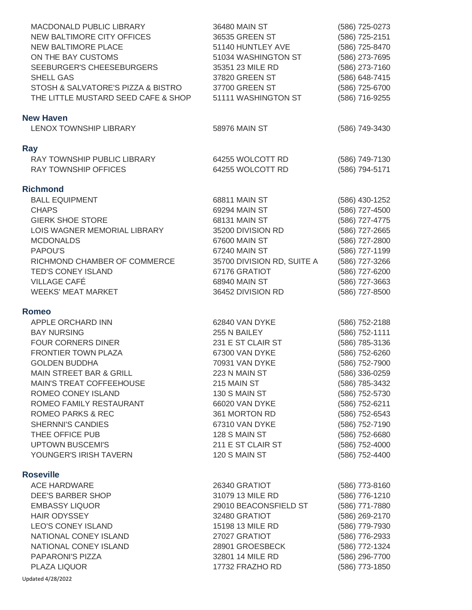| MACDONALD PUBLIC LIBRARY<br><b>NEW BALTIMORE CITY OFFICES</b><br><b>NEW BALTIMORE PLACE</b><br>ON THE BAY CUSTOMS<br>SEEBURGER'S CHEESEBURGERS<br><b>SHELL GAS</b><br>STOSH & SALVATORE'S PIZZA & BISTRO<br>THE LITTLE MUSTARD SEED CAFE & SHOP | 36480 MAIN ST<br>36535 GREEN ST<br>51140 HUNTLEY AVE<br>51034 WASHINGTON ST<br>35351 23 MILE RD<br>37820 GREEN ST<br>37700 GREEN ST<br>51111 WASHINGTON ST | (586) 725-0273<br>(586) 725-2151<br>(586) 725-8470<br>(586) 273-7695<br>(586) 273-7160<br>(586) 648-7415<br>(586) 725-6700<br>(586) 716-9255 |
|-------------------------------------------------------------------------------------------------------------------------------------------------------------------------------------------------------------------------------------------------|------------------------------------------------------------------------------------------------------------------------------------------------------------|----------------------------------------------------------------------------------------------------------------------------------------------|
| <b>New Haven</b><br>LENOX TOWNSHIP LIBRARY                                                                                                                                                                                                      | 58976 MAIN ST                                                                                                                                              | (586) 749-3430                                                                                                                               |
| <b>Ray</b>                                                                                                                                                                                                                                      |                                                                                                                                                            |                                                                                                                                              |
| RAY TOWNSHIP PUBLIC LIBRARY<br><b>RAY TOWNSHIP OFFICES</b>                                                                                                                                                                                      | 64255 WOLCOTT RD<br>64255 WOLCOTT RD                                                                                                                       | (586) 749-7130<br>(586) 794-5171                                                                                                             |
| <b>Richmond</b>                                                                                                                                                                                                                                 |                                                                                                                                                            |                                                                                                                                              |
| <b>BALL EQUIPMENT</b>                                                                                                                                                                                                                           | 68811 MAIN ST                                                                                                                                              | (586) 430-1252                                                                                                                               |
| <b>CHAPS</b>                                                                                                                                                                                                                                    | 69294 MAIN ST                                                                                                                                              | (586) 727-4500                                                                                                                               |
| <b>GIERK SHOE STORE</b><br>LOIS WAGNER MEMORIAL LIBRARY                                                                                                                                                                                         | 68131 MAIN ST<br>35200 DIVISION RD                                                                                                                         | (586) 727-4775<br>(586) 727-2665                                                                                                             |
| <b>MCDONALDS</b>                                                                                                                                                                                                                                | 67600 MAIN ST                                                                                                                                              | (586) 727-2800                                                                                                                               |
| PAPOU'S                                                                                                                                                                                                                                         | 67240 MAIN ST                                                                                                                                              | (586) 727-1199                                                                                                                               |
| RICHMOND CHAMBER OF COMMERCE                                                                                                                                                                                                                    | 35700 DIVISION RD, SUITE A                                                                                                                                 | (586) 727-3266                                                                                                                               |
| TED'S CONEY ISLAND                                                                                                                                                                                                                              | 67176 GRATIOT                                                                                                                                              | (586) 727-6200                                                                                                                               |
| <b>VILLAGE CAFÉ</b><br><b>WEEKS' MEAT MARKET</b>                                                                                                                                                                                                | 68940 MAIN ST<br>36452 DIVISION RD                                                                                                                         | (586) 727-3663<br>(586) 727-8500                                                                                                             |
| <b>Romeo</b>                                                                                                                                                                                                                                    |                                                                                                                                                            |                                                                                                                                              |
| APPLE ORCHARD INN                                                                                                                                                                                                                               | 62840 VAN DYKE                                                                                                                                             | (586) 752-2188                                                                                                                               |
| <b>BAY NURSING</b>                                                                                                                                                                                                                              | 255 N BAILEY                                                                                                                                               | (586) 752-1111                                                                                                                               |
| <b>FOUR CORNERS DINER</b>                                                                                                                                                                                                                       | 231 E ST CLAIR ST                                                                                                                                          | (586) 785-3136                                                                                                                               |
| FRONTIER TOWN PLAZA                                                                                                                                                                                                                             | 67300 VAN DYKE                                                                                                                                             | (586) 752-6260                                                                                                                               |
| <b>GOLDEN BUDDHA</b><br><b>MAIN STREET BAR &amp; GRILL</b>                                                                                                                                                                                      | 70931 VAN DYKE<br>223 N MAIN ST                                                                                                                            | (586) 752-7900                                                                                                                               |
| MAIN'S TREAT COFFEEHOUSE                                                                                                                                                                                                                        | 215 MAIN ST                                                                                                                                                | (586) 336-0259<br>(586) 785-3432                                                                                                             |
| ROMEO CONEY ISLAND                                                                                                                                                                                                                              | 130 S MAIN ST                                                                                                                                              | (586) 752-5730                                                                                                                               |
| ROMEO FAMILY RESTAURANT                                                                                                                                                                                                                         | 66020 VAN DYKE                                                                                                                                             | (586) 752-6211                                                                                                                               |
| <b>ROMEO PARKS &amp; REC</b>                                                                                                                                                                                                                    | 361 MORTON RD                                                                                                                                              | (586) 752-6543                                                                                                                               |
| <b>SHERNNI'S CANDIES</b>                                                                                                                                                                                                                        | 67310 VAN DYKE                                                                                                                                             | (586) 752-7190                                                                                                                               |
| THEE OFFICE PUB                                                                                                                                                                                                                                 | 128 S MAIN ST                                                                                                                                              | (586) 752-6680                                                                                                                               |
| <b>UPTOWN BUSCEMI'S</b><br>YOUNGER'S IRISH TAVERN                                                                                                                                                                                               | 211 E ST CLAIR ST<br>120 S MAIN ST                                                                                                                         | (586) 752-4000<br>(586) 752-4400                                                                                                             |
| <b>Roseville</b>                                                                                                                                                                                                                                |                                                                                                                                                            |                                                                                                                                              |
| <b>ACE HARDWARE</b>                                                                                                                                                                                                                             | 26340 GRATIOT                                                                                                                                              | (586) 773-8160                                                                                                                               |
| <b>DEE'S BARBER SHOP</b>                                                                                                                                                                                                                        | 31079 13 MILE RD                                                                                                                                           | (586) 776-1210                                                                                                                               |
| <b>EMBASSY LIQUOR</b>                                                                                                                                                                                                                           | 29010 BEACONSFIELD ST                                                                                                                                      | (586) 771-7880                                                                                                                               |
| <b>HAIR ODYSSEY</b>                                                                                                                                                                                                                             | 32480 GRATIOT                                                                                                                                              | (586) 269-2170                                                                                                                               |
| <b>LEO'S CONEY ISLAND</b>                                                                                                                                                                                                                       | 15198 13 MILE RD                                                                                                                                           | (586) 779-7930                                                                                                                               |
| NATIONAL CONEY ISLAND<br>NATIONAL CONEY ISLAND                                                                                                                                                                                                  | 27027 GRATIOT<br>28901 GROESBECK                                                                                                                           | (586) 776-2933<br>(586) 772-1324                                                                                                             |
| PAPARONI'S PIZZA                                                                                                                                                                                                                                | 32801 14 MILE RD                                                                                                                                           | (586) 296-7700                                                                                                                               |
| PLAZA LIQUOR                                                                                                                                                                                                                                    | 17732 FRAZHO RD                                                                                                                                            | (586) 773-1850                                                                                                                               |
| Updated 4/28/2022                                                                                                                                                                                                                               |                                                                                                                                                            |                                                                                                                                              |
|                                                                                                                                                                                                                                                 |                                                                                                                                                            |                                                                                                                                              |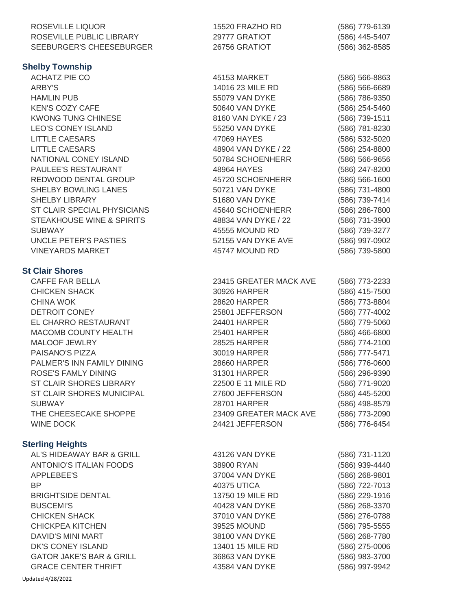| ROSEVILLE LIQUOR<br>ROSEVILLE PUBLIC LIBRARY | 15520 FRAZHO RD<br>29777 GRATIOT | (586) 779-6139<br>(586) 445-5407 |
|----------------------------------------------|----------------------------------|----------------------------------|
| SEEBURGER'S CHEESEBURGER                     | 26756 GRATIOT                    | (586) 362-8585                   |
| <b>Shelby Township</b>                       |                                  |                                  |
| <b>ACHATZ PIE CO</b>                         | 45153 MARKET                     | (586) 566-8863                   |
| <b>ARBY'S</b>                                | 14016 23 MILE RD                 | (586) 566-6689                   |
| <b>HAMLIN PUB</b>                            | 55079 VAN DYKE                   | (586) 786-9350                   |
| <b>KEN'S COZY CAFE</b>                       | 50640 VAN DYKE                   | (586) 254-5460                   |
| <b>KWONG TUNG CHINESE</b>                    | 8160 VAN DYKE / 23               | (586) 739-1511                   |
| <b>LEO'S CONEY ISLAND</b>                    | 55250 VAN DYKE                   | (586) 781-8230                   |
| <b>LITTLE CAESARS</b>                        | 47069 HAYES                      | (586) 532-5020                   |
| <b>LITTLE CAESARS</b>                        | 48904 VAN DYKE / 22              | (586) 254-8800                   |
| NATIONAL CONEY ISLAND                        | 50784 SCHOENHERR                 | (586) 566-9656                   |
| PAULEE'S RESTAURANT                          | 48964 HAYES                      | (586) 247-8200                   |
| REDWOOD DENTAL GROUP                         | 45720 SCHOENHERR                 | (586) 566-1600                   |
| SHELBY BOWLING LANES                         | 50721 VAN DYKE                   | (586) 731-4800                   |
| <b>SHELBY LIBRARY</b>                        | 51680 VAN DYKE                   | (586) 739-7414                   |
| ST CLAIR SPECIAL PHYSICIANS                  | 45640 SCHOENHERR                 | (586) 286-7800                   |
| STEAKHOUSE WINE & SPIRITS                    | 48834 VAN DYKE / 22              | (586) 731-3900                   |
| <b>SUBWAY</b>                                | 45555 MOUND RD                   | (586) 739-3277                   |
| UNCLE PETER'S PASTIES                        | 52155 VAN DYKE AVE               | (586) 997-0902                   |
| <b>VINEYARDS MARKET</b>                      | 45747 MOUND RD                   | (586) 739-5800                   |
|                                              |                                  |                                  |
| <b>St Clair Shores</b>                       |                                  |                                  |
| <b>CAFFE FAR BELLA</b>                       | 23415 GREATER MACK AVE           | (586) 773-2233                   |
| <b>CHICKEN SHACK</b>                         | 30926 HARPER                     | (586) 415-7500                   |
| <b>CHINA WOK</b>                             | 28620 HARPER                     | (586) 773-8804                   |
| DETROIT CONEY                                | 25801 JEFFERSON                  | (586) 777-4002                   |
| EL CHARRO RESTAURANT                         | 24401 HARPER                     | (586) 779-5060                   |
| MACOMB COUNTY HEALTH                         | 25401 HARPER                     | (586) 466-6800                   |
| MALOOF JEWLRY                                | 28525 HARPER                     | (586) 774-2100                   |
| PAISANO'S PIZZA                              | 30019 HARPER                     | (586) 777-5471                   |
| PALMER'S INN FAMILY DINING                   | 28660 HARPER                     | (586) 776-0600                   |
| <b>ROSE'S FAMLY DINING</b>                   | 31301 HARPER                     | (586) 296-9390                   |
| ST CLAIR SHORES LIBRARY                      | 22500 E 11 MILE RD               | (586) 771-9020                   |
| ST CLAIR SHORES MUNICIPAL                    | 27600 JEFFERSON                  | (586) 445-5200                   |
| <b>SUBWAY</b>                                | <b>28701 HARPER</b>              | (586) 498-8579                   |
| THE CHEESECAKE SHOPPE                        | 23409 GREATER MACK AVE           | (586) 773-2090                   |
| <b>WINE DOCK</b>                             | 24421 JEFFERSON                  | (586) 776-6454                   |
| <b>Sterling Heights</b>                      |                                  |                                  |
| AL'S HIDEAWAY BAR & GRILL                    | 43126 VAN DYKE                   | (586) 731-1120                   |
| ANTONIO'S ITALIAN FOODS                      | 38900 RYAN                       | (586) 939-4440                   |
| APPLEBEE'S                                   | 37004 VAN DYKE                   | (586) 268-9801                   |
| <b>BP</b>                                    | 40375 UTICA                      | (586) 722-7013                   |
| <b>BRIGHTSIDE DENTAL</b>                     | 13750 19 MILE RD                 | (586) 229-1916                   |
| <b>BUSCEMI'S</b>                             | 40428 VAN DYKE                   | (586) 268-3370                   |
| <b>CHICKEN SHACK</b>                         | 37010 VAN DYKE                   | (586) 276-0788                   |
| <b>CHICKPEA KITCHEN</b>                      | 39525 MOUND                      | (586) 795-5555                   |
| DAVID'S MINI MART                            | 38100 VAN DYKE                   | (586) 268-7780                   |
| DK'S CONEY ISLAND                            | 13401 15 MILE RD                 | (586) 275-0006                   |
| <b>GATOR JAKE'S BAR &amp; GRILL</b>          | 36863 VAN DYKE                   | (586) 983-3700                   |
| <b>GRACE CENTER THRIFT</b>                   | 43584 VAN DYKE                   | (586) 997-9942                   |

Updated 4/28/2022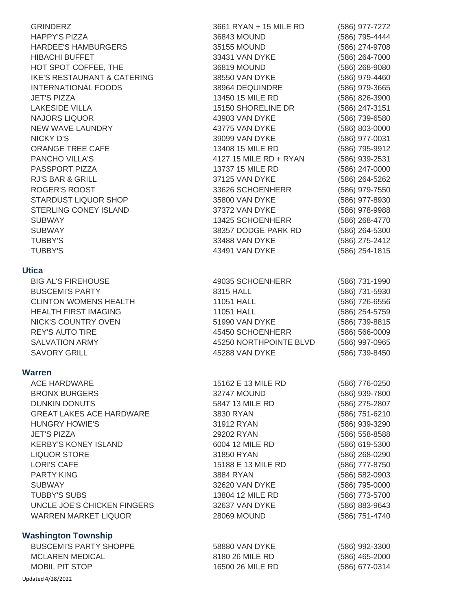| <b>GRINDERZ</b>                        | 3661 RYAN + 15 MILE RD | (586) 977-7272 |
|----------------------------------------|------------------------|----------------|
| <b>HAPPY'S PIZZA</b>                   | 36843 MOUND            | (586) 795-4444 |
| <b>HARDEE'S HAMBURGERS</b>             | 35155 MOUND            | (586) 274-9708 |
| <b>HIBACHI BUFFET</b>                  | 33431 VAN DYKE         | (586) 264-7000 |
| HOT SPOT COFFEE, THE                   | 36819 MOUND            | (586) 268-9080 |
| <b>IKE'S RESTAURANT &amp; CATERING</b> | 38550 VAN DYKE         | (586) 979-4460 |
| <b>INTERNATIONAL FOODS</b>             | 38964 DEQUINDRE        | (586) 979-3665 |
| <b>JET'S PIZZA</b>                     | 13450 15 MILE RD       | (586) 826-3900 |
| <b>LAKESIDE VILLA</b>                  | 15150 SHORELINE DR     | (586) 247-3151 |
| <b>NAJORS LIQUOR</b>                   | 43903 VAN DYKE         | (586) 739-6580 |
| NEW WAVE LAUNDRY                       | 43775 VAN DYKE         | (586) 803-0000 |
| <b>NICKY D'S</b>                       | 39099 VAN DYKE         | (586) 977-0031 |
| ORANGE TREE CAFE                       | 13408 15 MILE RD       | (586) 795-9912 |
| PANCHO VILLA'S                         | 4127 15 MILE RD + RYAN | (586) 939-2531 |
| PASSPORT PIZZA                         | 13737 15 MILE RD       | (586) 247-0000 |
| <b>RJ'S BAR &amp; GRILL</b>            | 37125 VAN DYKE         | (586) 264-5262 |
| <b>ROGER'S ROOST</b>                   | 33626 SCHOENHERR       | (586) 979-7550 |
| STARDUST LIQUOR SHOP                   | 35800 VAN DYKE         | (586) 977-8930 |
| STERLING CONEY ISLAND                  | 37372 VAN DYKE         | (586) 978-9988 |
| <b>SUBWAY</b>                          | 13425 SCHOENHERR       | (586) 268-4770 |
| <b>SUBWAY</b>                          | 38357 DODGE PARK RD    | (586) 264-5300 |
| <b>TUBBY'S</b>                         | 33488 VAN DYKE         | (586) 275-2412 |
| <b>TUBBY'S</b>                         | 43491 VAN DYKE         | (586) 254-1815 |
|                                        |                        |                |
| <b>Utica</b>                           |                        |                |
| <b>BIG AL'S FIREHOUSE</b>              | 49035 SCHOENHERR       | (586) 731-1990 |
| <b>BUSCEMI'S PARTY</b>                 | 8315 HALL              | (586) 731-5930 |
| <b>CLINTON WOMENS HEALTH</b>           | 11051 HALL             | (586) 726-6556 |
| <b>HEALTH FIRST IMAGING</b>            | 11051 HALL             | (586) 254-5759 |
| NICK'S COUNTRY OVEN                    | 51990 VAN DYKE         | (586) 739-8815 |
| <b>REY'S AUTO TIRE</b>                 | 45450 SCHOENHERR       | (586) 566-0009 |
| <b>SALVATION ARMY</b>                  | 45250 NORTHPOINTE BLVD | (586) 997-0965 |
| <b>SAVORY GRILL</b>                    | 45288 VAN DYKE         | (586) 739-8450 |
|                                        |                        |                |
| <b>Warren</b>                          |                        |                |
| <b>ACE HARDWARE</b>                    | 15162 E 13 MILE RD     | (586) 776-0250 |
| <b>BRONX BURGERS</b>                   | <b>32747 MOUND</b>     | (586) 939-7800 |
| <b>DUNKIN DONUTS</b>                   | 5847 13 MILE RD        | (586) 275-2807 |
| <b>GREAT LAKES ACE HARDWARE</b>        | 3830 RYAN              | (586) 751-6210 |
| <b>HUNGRY HOWIE'S</b>                  | 31912 RYAN             | (586) 939-3290 |
| <b>JET'S PIZZA</b>                     | 29202 RYAN             | (586) 558-8588 |
| <b>KERBY'S KONEY ISLAND</b>            | 6004 12 MILE RD        | (586) 619-5300 |
| <b>LIQUOR STORE</b>                    | 31850 RYAN             | (586) 268-0290 |
| <b>LORI'S CAFE</b>                     | 15188 E 13 MILE RD     | (586) 777-8750 |
| <b>PARTY KING</b>                      | 3884 RYAN              | (586) 582-0903 |
| <b>SUBWAY</b>                          | 32620 VAN DYKE         | (586) 795-0000 |
| <b>TUBBY'S SUBS</b>                    | 13804 12 MILE RD       | (586) 773-5700 |
| UNCLE JOE'S CHICKEN FINGERS            | 32637 VAN DYKE         | (586) 883-9643 |
| <b>WARREN MARKET LIQUOR</b>            | <b>28069 MOUND</b>     | (586) 751-4740 |
|                                        |                        |                |
| <b>Washington Township</b>             |                        |                |
| <b>BUSCEMI'S PARTY SHOPPE</b>          | 58880 VAN DYKE         | (586) 992-3300 |
| <b>MCLAREN MEDICAL</b>                 | 8180 26 MILE RD        | (586) 465-2000 |
| <b>MOBIL PIT STOP</b>                  | 16500 26 MILE RD       | (586) 677-0314 |
|                                        |                        |                |

Updated 4/28/2022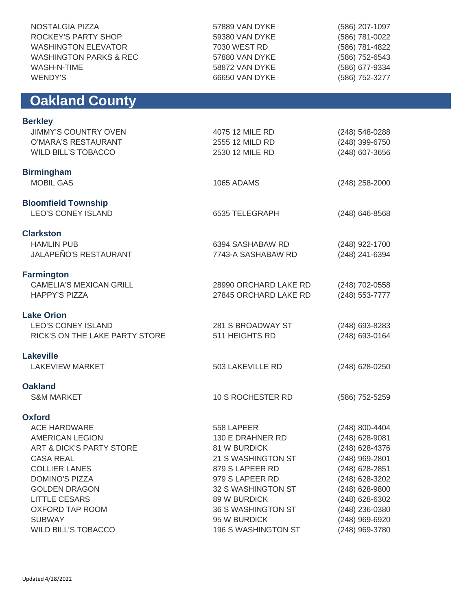| NOSTALGIA PIZZA<br>ROCKEY'S PARTY SHOP<br><b>WASHINGTON ELEVATOR</b><br><b>WASHINGTON PARKS &amp; REC</b><br>WASH-N-TIME<br><b>WENDY'S</b> | 57889 VAN DYKE<br>59380 VAN DYKE<br>7030 WEST RD<br>57880 VAN DYKE<br>58872 VAN DYKE<br>66650 VAN DYKE | (586) 207-1097<br>(586) 781-0022<br>(586) 781-4822<br>(586) 752-6543<br>(586) 677-9334<br>(586) 752-3277 |  |
|--------------------------------------------------------------------------------------------------------------------------------------------|--------------------------------------------------------------------------------------------------------|----------------------------------------------------------------------------------------------------------|--|
| <b>Oakland County</b>                                                                                                                      |                                                                                                        |                                                                                                          |  |
| <b>Berkley</b>                                                                                                                             |                                                                                                        |                                                                                                          |  |
| <b>JIMMY'S COUNTRY OVEN</b>                                                                                                                | 4075 12 MILE RD                                                                                        | (248) 548-0288                                                                                           |  |
| O'MARA'S RESTAURANT                                                                                                                        | 2555 12 MILD RD                                                                                        | (248) 399-6750                                                                                           |  |
| <b>WILD BILL'S TOBACCO</b>                                                                                                                 | 2530 12 MILE RD                                                                                        | (248) 607-3656                                                                                           |  |
| <b>Birmingham</b>                                                                                                                          |                                                                                                        |                                                                                                          |  |
| <b>MOBIL GAS</b>                                                                                                                           | 1065 ADAMS                                                                                             | $(248)$ 258-2000                                                                                         |  |
|                                                                                                                                            |                                                                                                        |                                                                                                          |  |
| <b>Bloomfield Township</b><br><b>LEO'S CONEY ISLAND</b>                                                                                    | 6535 TELEGRAPH                                                                                         |                                                                                                          |  |
|                                                                                                                                            |                                                                                                        | $(248)$ 646-8568                                                                                         |  |
| <b>Clarkston</b>                                                                                                                           |                                                                                                        |                                                                                                          |  |
| <b>HAMLIN PUB</b>                                                                                                                          | 6394 SASHABAW RD                                                                                       | (248) 922-1700                                                                                           |  |
| <b>JALAPEÑO'S RESTAURANT</b>                                                                                                               | 7743-A SASHABAW RD                                                                                     | (248) 241-6394                                                                                           |  |
| <b>Farmington</b>                                                                                                                          |                                                                                                        |                                                                                                          |  |
| <b>CAMELIA'S MEXICAN GRILL</b>                                                                                                             | 28990 ORCHARD LAKE RD                                                                                  | (248) 702-0558                                                                                           |  |
| <b>HAPPY'S PIZZA</b>                                                                                                                       | 27845 ORCHARD LAKE RD                                                                                  | (248) 553-7777                                                                                           |  |
| <b>Lake Orion</b>                                                                                                                          |                                                                                                        |                                                                                                          |  |
| <b>LEO'S CONEY ISLAND</b>                                                                                                                  | 281 S BROADWAY ST                                                                                      | (248) 693-8283                                                                                           |  |
| RICK'S ON THE LAKE PARTY STORE                                                                                                             | 511 HEIGHTS RD                                                                                         | (248) 693-0164                                                                                           |  |
| <b>Lakeville</b>                                                                                                                           |                                                                                                        |                                                                                                          |  |
| <b>LAKEVIEW MARKET</b>                                                                                                                     | 503 LAKEVILLE RD                                                                                       | (248) 628-0250                                                                                           |  |
|                                                                                                                                            |                                                                                                        |                                                                                                          |  |
| <b>Oakland</b>                                                                                                                             |                                                                                                        |                                                                                                          |  |
| <b>S&amp;M MARKET</b>                                                                                                                      | 10 S ROCHESTER RD                                                                                      | (586) 752-5259                                                                                           |  |
| <b>Oxford</b>                                                                                                                              |                                                                                                        |                                                                                                          |  |
| <b>ACE HARDWARE</b>                                                                                                                        | 558 LAPEER                                                                                             | (248) 800-4404                                                                                           |  |
| <b>AMERICAN LEGION</b>                                                                                                                     | 130 E DRAHNER RD                                                                                       | (248) 628-9081                                                                                           |  |
| <b>ART &amp; DICK'S PARTY STORE</b>                                                                                                        | 81 W BURDICK                                                                                           | (248) 628-4376                                                                                           |  |
| <b>CASA REAL</b>                                                                                                                           | 21 S WASHINGTON ST                                                                                     | (248) 969-2801                                                                                           |  |
| <b>COLLIER LANES</b>                                                                                                                       | 879 S LAPEER RD                                                                                        | (248) 628-2851                                                                                           |  |
| <b>DOMINO'S PIZZA</b>                                                                                                                      | 979 S LAPEER RD                                                                                        | (248) 628-3202                                                                                           |  |
| <b>GOLDEN DRAGON</b>                                                                                                                       | 32 S WASHINGTON ST                                                                                     | (248) 628-9800                                                                                           |  |
| <b>LITTLE CESARS</b>                                                                                                                       | 89 W BURDICK                                                                                           | (248) 628-6302                                                                                           |  |
| OXFORD TAP ROOM                                                                                                                            | 36 S WASHINGTON ST                                                                                     | (248) 236-0380                                                                                           |  |
| <b>SUBWAY</b>                                                                                                                              | 95 W BURDICK                                                                                           | (248) 969-6920                                                                                           |  |
| <b>WILD BILL'S TOBACCO</b>                                                                                                                 | 196 S WASHINGTON ST                                                                                    | (248) 969-3780                                                                                           |  |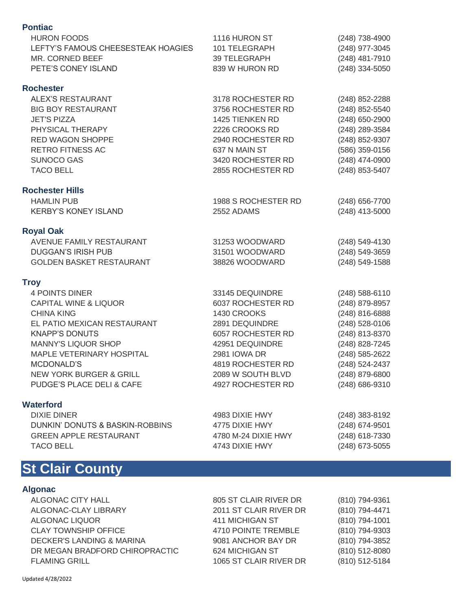| <b>Pontiac</b>                     |                     |                |
|------------------------------------|---------------------|----------------|
| <b>HURON FOODS</b>                 | 1116 HURON ST       | (248) 738-4900 |
| LEFTY'S FAMOUS CHEESESTEAK HOAGIES | 101 TELEGRAPH       | (248) 977-3045 |
| MR. CORNED BEEF                    | 39 TELEGRAPH        | (248) 481-7910 |
| PETE'S CONEY ISLAND                | 839 W HURON RD      | (248) 334-5050 |
| <b>Rochester</b>                   |                     |                |
| <b>ALEX'S RESTAURANT</b>           | 3178 ROCHESTER RD   | (248) 852-2288 |
| <b>BIG BOY RESTAURANT</b>          | 3756 ROCHESTER RD   | (248) 852-5540 |
| <b>JET'S PIZZA</b>                 | 1425 TIENKEN RD     | (248) 650-2900 |
| PHYSICAL THERAPY                   | 2226 CROOKS RD      | (248) 289-3584 |
| <b>RED WAGON SHOPPE</b>            | 2940 ROCHESTER RD   | (248) 852-9307 |
| RETRO FITNESS AC                   | 637 N MAIN ST       | (586) 359-0156 |
| <b>SUNOCO GAS</b>                  | 3420 ROCHESTER RD   | (248) 474-0900 |
| <b>TACO BELL</b>                   | 2855 ROCHESTER RD   | (248) 853-5407 |
| <b>Rochester Hills</b>             |                     |                |
| <b>HAMLIN PUB</b>                  | 1988 S ROCHESTER RD | (248) 656-7700 |
| <b>KERBY'S KONEY ISLAND</b>        | 2552 ADAMS          | (248) 413-5000 |
| <b>Royal Oak</b>                   |                     |                |
| <b>AVENUE FAMILY RESTAURANT</b>    | 31253 WOODWARD      | (248) 549-4130 |
| <b>DUGGAN'S IRISH PUB</b>          | 31501 WOODWARD      | (248) 549-3659 |
| <b>GOLDEN BASKET RESTAURANT</b>    | 38826 WOODWARD      | (248) 549-1588 |
| <b>Troy</b>                        |                     |                |
| <b>4 POINTS DINER</b>              | 33145 DEQUINDRE     | (248) 588-6110 |
| <b>CAPITAL WINE &amp; LIQUOR</b>   | 6037 ROCHESTER RD   | (248) 879-8957 |
| <b>CHINA KING</b>                  | 1430 CROOKS         | (248) 816-6888 |
| EL PATIO MEXICAN RESTAURANT        | 2891 DEQUINDRE      | (248) 528-0106 |
| <b>KNAPP'S DONUTS</b>              | 6057 ROCHESTER RD   | (248) 813-8370 |
| <b>MANNY'S LIQUOR SHOP</b>         | 42951 DEQUINDRE     | (248) 828-7245 |
| MAPLE VETERINARY HOSPITAL          | 2981 IOWA DR        | (248) 585-2622 |
| MCDONALD'S                         | 4819 ROCHESTER RD   | (248) 524-2437 |
| <b>NEW YORK BURGER &amp; GRILL</b> | 2089 W SOUTH BLVD   | (248) 879-6800 |
| PUDGE'S PLACE DELI & CAFE          | 4927 ROCHESTER RD   | (248) 686-9310 |
| <b>Waterford</b>                   |                     |                |
| <b>DIXIE DINER</b>                 | 4983 DIXIE HWY      | (248) 383-8192 |
| DUNKIN' DONUTS & BASKIN-ROBBINS    | 4775 DIXIE HWY      | (248) 674-9501 |
| <b>GREEN APPLE RESTAURANT</b>      | 4780 M-24 DIXIE HWY | (248) 618-7330 |
| <b>TACO BELL</b>                   | 4743 DIXIE HWY      | (248) 673-5055 |

## **St Clair County**

### **Algonac**

ALGONAC CITY HALL ALGONAC-CLAY LIBRARY ALGONAC LIQUOR CLAY TOWNSHIP OFFICE DECKER'S LANDING & MARINA DR MEGAN BRADFORD CHIROPRACTIC FLAMING GRILL

805 ST CLAIR RIVER DR 2011 ST CLAIR RIVER DR 411 MICHIGAN ST 4710 POINTE TREMBLE 9081 ANCHOR BAY DR 624 MICHIGAN ST 1065 ST CLAIR RIVER DR (810) 794-9361 (810) 794-4471 (810) 794-1001 (810) 794-9303 (810) 794-3852 (810) 512-8080 (810) 512-5184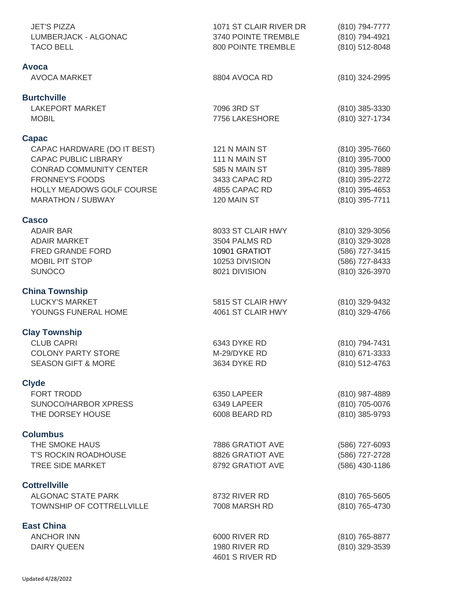| <b>JET'S PIZZA</b><br>LUMBERJACK - ALGONAC<br><b>TACO BELL</b> | 1071 ST CLAIR RIVER DR<br>3740 POINTE TREMBLE<br>800 POINTE TREMBLE | (810) 794-7777<br>(810) 794-4921<br>(810) 512-8048 |
|----------------------------------------------------------------|---------------------------------------------------------------------|----------------------------------------------------|
| Avoca                                                          |                                                                     |                                                    |
| <b>AVOCA MARKET</b>                                            | 8804 AVOCA RD                                                       | (810) 324-2995                                     |
| <b>Burtchville</b>                                             |                                                                     |                                                    |
| <b>LAKEPORT MARKET</b><br><b>MOBIL</b>                         | 7096 3RD ST<br>7756 LAKESHORE                                       | (810) 385-3330<br>(810) 327-1734                   |
| <b>Capac</b>                                                   |                                                                     |                                                    |
| CAPAC HARDWARE (DO IT BEST)<br><b>CAPAC PUBLIC LIBRARY</b>     | 121 N MAIN ST<br>111 N MAIN ST                                      | $(810)$ 395-7660<br>(810) 395-7000                 |
| <b>CONRAD COMMUNITY CENTER</b><br><b>FRONNEY'S FOODS</b>       | 585 N MAIN ST<br>3433 CAPAC RD                                      | (810) 395-7889<br>(810) 395-2272                   |
| HOLLY MEADOWS GOLF COURSE<br><b>MARATHON / SUBWAY</b>          | 4855 CAPAC RD<br>120 MAIN ST                                        | (810) 395-4653<br>(810) 395-7711                   |
| <b>Casco</b>                                                   |                                                                     |                                                    |
| <b>ADAIR BAR</b><br><b>ADAIR MARKET</b><br>FRED GRANDE FORD    | 8033 ST CLAIR HWY<br>3504 PALMS RD<br>10901 GRATIOT                 | (810) 329-3056<br>(810) 329-3028<br>(586) 727-3415 |
| <b>MOBIL PIT STOP</b><br><b>SUNOCO</b>                         | 10253 DIVISION<br>8021 DIVISION                                     | (586) 727-8433<br>(810) 326-3970                   |
| <b>China Township</b>                                          |                                                                     |                                                    |
| <b>LUCKY'S MARKET</b><br>YOUNGS FUNERAL HOME                   | 5815 ST CLAIR HWY<br>4061 ST CLAIR HWY                              | (810) 329-9432<br>(810) 329-4766                   |
| <b>Clay Township</b>                                           |                                                                     |                                                    |
| <b>CLUB CAPRI</b>                                              | 6343 DYKE RD                                                        | (810) 794-7431                                     |
| <b>COLONY PARTY STORE</b><br><b>SEASON GIFT &amp; MORE</b>     | M-29/DYKE RD<br>3634 DYKE RD                                        | (810) 671-3333<br>(810) 512-4763                   |
| <b>Clyde</b>                                                   |                                                                     |                                                    |
| FORT TRODD                                                     | 6350 LAPEER                                                         | (810) 987-4889                                     |
| SUNOCO/HARBOR XPRESS<br>THE DORSEY HOUSE                       | 6349 LAPEER<br>6008 BEARD RD                                        | (810) 705-0076<br>(810) 385-9793                   |
| <b>Columbus</b>                                                |                                                                     |                                                    |
| THE SMOKE HAUS                                                 | 7886 GRATIOT AVE                                                    | (586) 727-6093                                     |
| <b>T'S ROCKIN ROADHOUSE</b><br><b>TREE SIDE MARKET</b>         | 8826 GRATIOT AVE<br>8792 GRATIOT AVE                                | (586) 727-2728<br>(586) 430-1186                   |
| <b>Cottrellville</b>                                           |                                                                     |                                                    |
| ALGONAC STATE PARK<br>TOWNSHIP OF COTTRELLVILLE                | 8732 RIVER RD<br>7008 MARSH RD                                      | (810) 765-5605<br>(810) 765-4730                   |
| <b>East China</b>                                              |                                                                     |                                                    |
| <b>ANCHOR INN</b><br><b>DAIRY QUEEN</b>                        | 6000 RIVER RD<br>1980 RIVER RD<br>4601 S RIVER RD                   | (810) 765-8877<br>(810) 329-3539                   |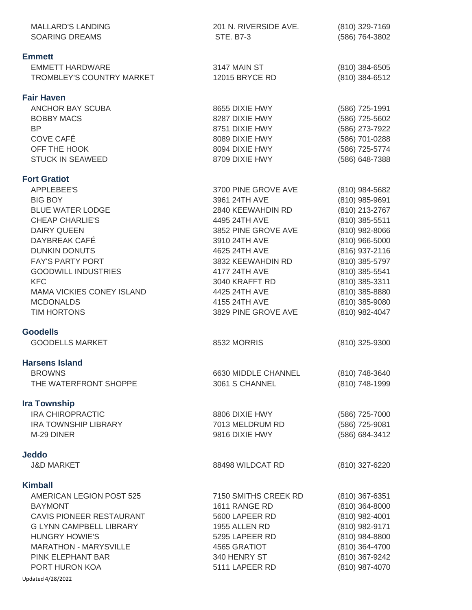| <b>MALLARD'S LANDING</b><br><b>SOARING DREAMS</b>                                                                                                                                                                                                                                                     | 201 N. RIVERSIDE AVE.<br>STE. B7-3                                                                                                                                                                                                                   | (810) 329-7169<br>(586) 764-3802                                                                                                                                                                                                       |
|-------------------------------------------------------------------------------------------------------------------------------------------------------------------------------------------------------------------------------------------------------------------------------------------------------|------------------------------------------------------------------------------------------------------------------------------------------------------------------------------------------------------------------------------------------------------|----------------------------------------------------------------------------------------------------------------------------------------------------------------------------------------------------------------------------------------|
| <b>Emmett</b>                                                                                                                                                                                                                                                                                         |                                                                                                                                                                                                                                                      |                                                                                                                                                                                                                                        |
| <b>EMMETT HARDWARE</b><br>TROMBLEY'S COUNTRY MARKET                                                                                                                                                                                                                                                   | 3147 MAIN ST<br>12015 BRYCE RD                                                                                                                                                                                                                       | (810) 384-6505<br>(810) 384-6512                                                                                                                                                                                                       |
| <b>Fair Haven</b>                                                                                                                                                                                                                                                                                     |                                                                                                                                                                                                                                                      |                                                                                                                                                                                                                                        |
| <b>ANCHOR BAY SCUBA</b><br><b>BOBBY MACS</b><br><b>BP</b><br>COVE CAFÉ<br>OFF THE HOOK<br><b>STUCK IN SEAWEED</b>                                                                                                                                                                                     | 8655 DIXIE HWY<br>8287 DIXIE HWY<br>8751 DIXIE HWY<br>8089 DIXIE HWY<br>8094 DIXIE HWY<br>8709 DIXIE HWY                                                                                                                                             | (586) 725-1991<br>(586) 725-5602<br>(586) 273-7922<br>(586) 701-0288<br>(586) 725-5774<br>(586) 648-7388                                                                                                                               |
| <b>Fort Gratiot</b>                                                                                                                                                                                                                                                                                   |                                                                                                                                                                                                                                                      |                                                                                                                                                                                                                                        |
| <b>APPLEBEE'S</b><br><b>BIG BOY</b><br><b>BLUE WATER LODGE</b><br><b>CHEAP CHARLIE'S</b><br><b>DAIRY QUEEN</b><br>DAYBREAK CAFÉ<br><b>DUNKIN DONUTS</b><br><b>FAY'S PARTY PORT</b><br><b>GOODWILL INDUSTRIES</b><br><b>KFC</b><br><b>MAMA VICKIES CONEY ISLAND</b><br><b>MCDONALDS</b><br>TIM HORTONS | 3700 PINE GROVE AVE<br>3961 24TH AVE<br>2840 KEEWAHDIN RD<br>4495 24TH AVE<br>3852 PINE GROVE AVE<br>3910 24TH AVE<br>4625 24TH AVE<br>3832 KEEWAHDIN RD<br>4177 24TH AVE<br>3040 KRAFFT RD<br>4425 24TH AVE<br>4155 24TH AVE<br>3829 PINE GROVE AVE | (810) 984-5682<br>(810) 985-9691<br>(810) 213-2767<br>(810) 385-5511<br>(810) 982-8066<br>(810) 966-5000<br>(816) 937-2116<br>(810) 385-5797<br>(810) 385-5541<br>(810) 385-3311<br>(810) 385-8880<br>(810) 385-9080<br>(810) 982-4047 |
| <b>Goodells</b><br><b>GOODELLS MARKET</b>                                                                                                                                                                                                                                                             | 8532 MORRIS                                                                                                                                                                                                                                          | (810) 325-9300                                                                                                                                                                                                                         |
| <b>Harsens Island</b>                                                                                                                                                                                                                                                                                 |                                                                                                                                                                                                                                                      |                                                                                                                                                                                                                                        |
| <b>BROWNS</b><br>THE WATERFRONT SHOPPE                                                                                                                                                                                                                                                                | 6630 MIDDLE CHANNEL<br>3061 S CHANNEL                                                                                                                                                                                                                | (810) 748-3640<br>(810) 748-1999                                                                                                                                                                                                       |
| <b>Ira Township</b>                                                                                                                                                                                                                                                                                   |                                                                                                                                                                                                                                                      |                                                                                                                                                                                                                                        |
| <b>IRA CHIROPRACTIC</b><br><b>IRA TOWNSHIP LIBRARY</b><br>M-29 DINER                                                                                                                                                                                                                                  | 8806 DIXIE HWY<br>7013 MELDRUM RD<br>9816 DIXIE HWY                                                                                                                                                                                                  | (586) 725-7000<br>(586) 725-9081<br>(586) 684-3412                                                                                                                                                                                     |
| <b>Jeddo</b>                                                                                                                                                                                                                                                                                          |                                                                                                                                                                                                                                                      |                                                                                                                                                                                                                                        |
| <b>J&amp;D MARKET</b>                                                                                                                                                                                                                                                                                 | 88498 WILDCAT RD                                                                                                                                                                                                                                     | (810) 327-6220                                                                                                                                                                                                                         |
| <b>Kimball</b><br>AMERICAN LEGION POST 525<br><b>BAYMONT</b><br>CAVIS PIONEER RESTAURANT<br><b>G LYNN CAMPBELL LIBRARY</b><br><b>HUNGRY HOWIE'S</b><br><b>MARATHON - MARYSVILLE</b><br>PINK ELEPHANT BAR<br>PORT HURON KOA<br>Updated 4/28/2022                                                       | 7150 SMITHS CREEK RD<br>1611 RANGE RD<br>5600 LAPEER RD<br>1955 ALLEN RD<br>5295 LAPEER RD<br>4565 GRATIOT<br>340 HENRY ST<br>5111 LAPEER RD                                                                                                         | $(810)$ 367-6351<br>(810) 364-8000<br>(810) 982-4001<br>(810) 982-9171<br>(810) 984-8800<br>(810) 364-4700<br>(810) 367-9242<br>(810) 987-4070                                                                                         |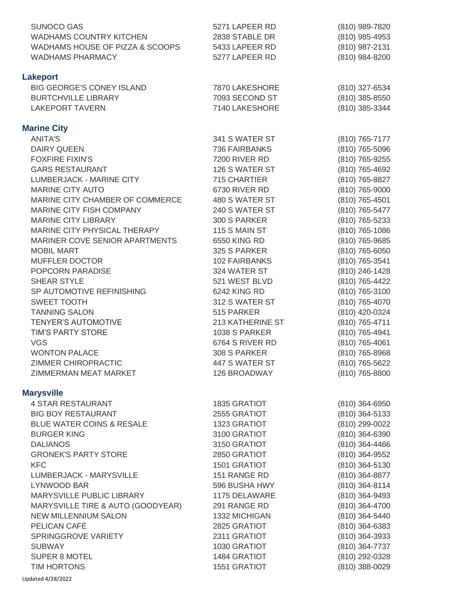| <b>SUNOCO GAS</b><br><b>WADHAMS COUNTRY KITCHEN</b><br>WADHAMS HOUSE OF PIZZA & SCOOPS<br><b>WADHAMS PHARMACY</b> | 5271 LAPEER RD<br>2838 STABLE DR<br>5433 LAPEER RD<br>5277 LAPEER RD | (810) 989-7820<br>(810) 985-4953<br>(810) 987-2131<br>(810) 984-8200 |
|-------------------------------------------------------------------------------------------------------------------|----------------------------------------------------------------------|----------------------------------------------------------------------|
| <b>Lakeport</b><br><b>BIG GEORGE'S CONEY ISLAND</b><br><b>BURTCHVILLE LIBRARY</b><br><b>LAKEPORT TAVERN</b>       | 7870 LAKESHORE<br>7093 SECOND ST<br>7140 LAKESHORE                   | (810) 327-6534<br>(810) 385-8550<br>(810) 385-3344                   |
| <b>Marine City</b>                                                                                                |                                                                      |                                                                      |
| <b>ANITA'S</b>                                                                                                    | 341 S WATER ST                                                       | (810) 765-7177                                                       |
| <b>DAIRY QUEEN</b>                                                                                                | 736 FAIRBANKS                                                        | (810) 765-5096                                                       |
| <b>FOXFIRE FIXIN'S</b>                                                                                            | <b>7200 RIVER RD</b>                                                 | (810) 765-9255                                                       |
| <b>GARS RESTAURANT</b>                                                                                            | 126 S WATER ST                                                       | (810) 765-4692                                                       |
| LUMBERJACK - MARINE CITY                                                                                          | 715 CHARTIER                                                         | (810) 765-8827                                                       |
| <b>MARINE CITY AUTO</b>                                                                                           | 6730 RIVER RD                                                        | (810) 765-9000                                                       |
| MARINE CITY CHAMBER OF COMMERCE                                                                                   | 480 S WATER ST                                                       | (810) 765-4501                                                       |
| MARINE CITY FISH COMPANY                                                                                          | 240 S WATER ST                                                       | (810) 765-5477                                                       |
| <b>MARINE CITY LIBRARY</b>                                                                                        | 300 S PARKER                                                         | (810) 765-5233                                                       |
| MARINE CITY PHYSICAL THERAPY                                                                                      | 115 S MAIN ST                                                        | (810) 765-1086                                                       |
| MARINER COVE SENIOR APARTMENTS                                                                                    | 6550 KING RD                                                         | (810) 765-9685                                                       |
| <b>MOBIL MART</b><br><b>MUFFLER DOCTOR</b>                                                                        | 325 S PARKER<br>102 FAIRBANKS                                        | (810) 765-6050<br>(810) 765-3541                                     |
| POPCORN PARADISE                                                                                                  | 324 WATER ST                                                         | (810) 246-1428                                                       |
| SHEAR STYLE                                                                                                       | 521 WEST BLVD                                                        | (810) 765-4422                                                       |
| SP AUTOMOTIVE REFINISHING                                                                                         | 6242 KING RD                                                         | (810) 765-3100                                                       |
| <b>SWEET TOOTH</b>                                                                                                | 312 S WATER ST                                                       | (810) 765-4070                                                       |
| <b>TANNING SALON</b>                                                                                              | 515 PARKER                                                           | (810) 420-0324                                                       |
| <b>TENYER'S AUTOMOTIVE</b>                                                                                        | 213 KATHERINE ST                                                     | (810) 765-4711                                                       |
| <b>TIM'S PARTY STORE</b>                                                                                          | 1038 S PARKER                                                        | (810) 765-4941                                                       |
| <b>VGS</b>                                                                                                        | 6764 S RIVER RD                                                      | (810) 765-4061                                                       |
| <b>WONTON PALACE</b>                                                                                              | 308 S PARKER                                                         | (810) 765-8968                                                       |
| ZIMMER CHIROPRACTIC                                                                                               | 447 S WATER ST                                                       | (810) 765-5622                                                       |
| ZIMMERMAN MEAT MARKET                                                                                             | 126 BROADWAY                                                         | (810) 765-8800                                                       |
| <b>Marysville</b>                                                                                                 |                                                                      |                                                                      |
| <b>4 STAR RESTAURANT</b>                                                                                          | 1835 GRATIOT                                                         | (810) 364-6950                                                       |
| <b>BIG BOY RESTAURANT</b>                                                                                         | 2555 GRATIOT                                                         | (810) 364-5133                                                       |
| <b>BLUE WATER COINS &amp; RESALE</b>                                                                              | 1323 GRATIOT                                                         | (810) 299-0022                                                       |
| <b>BURGER KING</b>                                                                                                | 3100 GRATIOT                                                         | (810) 364-6390                                                       |
| <b>DALIANOS</b>                                                                                                   | 3150 GRATIOT                                                         | (810) 364-4466                                                       |
| <b>GRONEK'S PARTY STORE</b><br><b>KFC</b>                                                                         | 2850 GRATIOT                                                         | (810) 364-9552                                                       |
| LUMBERJACK - MARYSVILLE                                                                                           | 1501 GRATIOT<br>151 RANGE RD                                         | (810) 364-5130<br>(810) 364-8877                                     |
| LYNWOOD BAR                                                                                                       | 596 BUSHA HWY                                                        | (810) 364-8114                                                       |
| MARYSVILLE PUBLIC LIBRARY                                                                                         | 1175 DELAWARE                                                        | (810) 364-9493                                                       |
| MARYSVILLE TIRE & AUTO (GOODYEAR)                                                                                 | 291 RANGE RD                                                         | (810) 364-4700                                                       |
| <b>NEW MILLENNIUM SALON</b>                                                                                       | 1332 MICHIGAN                                                        | (810) 364-5440                                                       |
| PELICAN CAFÉ                                                                                                      | 2825 GRATIOT                                                         | (810) 364-6383                                                       |
| SPRINGGROVE VARIETY                                                                                               | 2311 GRATIOT                                                         | (810) 364-3933                                                       |
| <b>SUBWAY</b>                                                                                                     | 1030 GRATIOT                                                         | (810) 364-7737                                                       |
| <b>SUPER 8 MOTEL</b>                                                                                              | 1484 GRATIOT                                                         | (810) 292-0328                                                       |
| <b>TIM HORTONS</b>                                                                                                | 1551 GRATIOT                                                         | (810) 388-0029                                                       |
| Updated 4/28/2022                                                                                                 |                                                                      |                                                                      |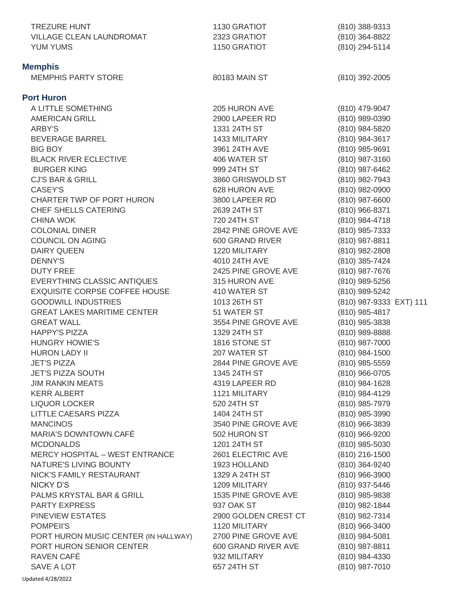| TREZURE HUNT                          | 1130 GRATIOT         | (810) 388-9313                   |
|---------------------------------------|----------------------|----------------------------------|
| VILLAGE CLEAN LAUNDROMAT              | 2323 GRATIOT         | (810) 364-8822                   |
| YUM YUMS                              | 1150 GRATIOT         | (810) 294-5114                   |
| <b>Memphis</b>                        |                      |                                  |
| <b>MEMPHIS PARTY STORE</b>            | 80183 MAIN ST        | $(810)$ 392-2005                 |
|                                       |                      |                                  |
| <b>Port Huron</b>                     |                      |                                  |
| A LITTLE SOMETHING                    | 205 HURON AVE        | (810) 479-9047                   |
| <b>AMERICAN GRILL</b>                 | 2900 LAPEER RD       | (810) 989-0390                   |
| ARBY'S                                | 1331 24TH ST         | (810) 984-5820                   |
| <b>BEVERAGE BARREL</b>                | 1433 MILITARY        | (810) 984-3617                   |
| <b>BIG BOY</b>                        | 3961 24TH AVE        | (810) 985-9691                   |
| <b>BLACK RIVER ECLECTIVE</b>          | 406 WATER ST         | (810) 987-3160                   |
| <b>BURGER KING</b>                    | 999 24TH ST          | (810) 987-6462                   |
| <b>CJ'S BAR &amp; GRILL</b>           | 3860 GRISWOLD ST     | (810) 982-7943                   |
| CASEY'S                               | 628 HURON AVE        | $(810)$ 982-0900                 |
| CHARTER TWP OF PORT HURON             | 3800 LAPEER RD       | (810) 987-6600                   |
| <b>CHEF SHELLS CATERING</b>           | 2639 24TH ST         | (810) 966-8371                   |
| <b>CHINA WOK</b>                      | 720 24TH ST          | (810) 984-4718                   |
| <b>COLONIAL DINER</b>                 | 2842 PINE GROVE AVE  | (810) 985-7333                   |
| <b>COUNCIL ON AGING</b>               | 600 GRAND RIVER      | (810) 987-8811                   |
| <b>DAIRY QUEEN</b>                    | 1220 MILITARY        | (810) 982-2808                   |
| <b>DENNY'S</b>                        | 4010 24TH AVE        | (810) 385-7424                   |
| <b>DUTY FREE</b>                      | 2425 PINE GROVE AVE  | (810) 987-7676                   |
| EVERYTHING CLASSIC ANTIQUES           | 315 HURON AVE        | (810) 989-5256                   |
| <b>EXQUISITE CORPSE COFFEE HOUSE</b>  | 410 WATER ST         | (810) 989-5242                   |
| <b>GOODWILL INDUSTRIES</b>            | 1013 26TH ST         | (810) 987-9333 EXT) 111          |
| <b>GREAT LAKES MARITIME CENTER</b>    | 51 WATER ST          | (810) 985-4817                   |
| <b>GREAT WALL</b>                     | 3554 PINE GROVE AVE  |                                  |
| <b>HAPPY'S PIZZA</b>                  | 1329 24TH ST         | (810) 985-3838<br>(810) 989-8888 |
| <b>HUNGRY HOWIE'S</b>                 | 1816 STONE ST        | (810) 987-7000                   |
| <b>HURON LADY II</b>                  | 207 WATER ST         |                                  |
| <b>JET'S PIZZA</b>                    | 2844 PINE GROVE AVE  | (810) 984-1500                   |
| <b>JET'S PIZZA SOUTH</b>              | 1345 24TH ST         | (810) 985-5559                   |
|                                       |                      | (810) 966-0705                   |
| <b>JIM RANKIN MEATS</b>               | 4319 LAPEER RD       | $(810)$ 984-1628                 |
| <b>KERR ALBERT</b>                    | 1121 MILITARY        | (810) 984-4129                   |
| <b>LIQUOR LOCKER</b>                  | 520 24TH ST          | (810) 985-7979                   |
| LITTLE CAESARS PIZZA                  | 1404 24TH ST         | (810) 985-3990                   |
| <b>MANCINOS</b>                       | 3540 PINE GROVE AVE  | (810) 966-3839                   |
| MARIA'S DOWNTOWN CAFÉ                 | 502 HURON ST         | $(810)$ 966-9200                 |
| <b>MCDONALDS</b>                      | 1201 24TH ST         | (810) 985-5030                   |
| <b>MERCY HOSPITAL - WEST ENTRANCE</b> | 2601 ELECTRIC AVE    | (810) 216-1500                   |
| NATURE'S LIVING BOUNTY                | 1923 HOLLAND         | (810) 364-9240                   |
| NICK'S FAMILY RESTAURANT              | 1329 A 24TH ST       | $(810)$ 966-3900                 |
| NICKY D'S                             | 1209 MILITARY        | (810) 937-5446                   |
| PALMS KRYSTAL BAR & GRILL             | 1535 PINE GROVE AVE  | (810) 985-9838                   |
| <b>PARTY EXPRESS</b>                  | 937 OAK ST           | (810) 982-1844                   |
| PINEVIEW ESTATES                      | 2900 GOLDEN CREST CT | (810) 982-7314                   |
| POMPEII'S                             | 1120 MILITARY        | (810) 966-3400                   |
| PORT HURON MUSIC CENTER (IN HALLWAY)  | 2700 PINE GROVE AVE  | $(810)$ 984-5081                 |
| PORT HURON SENIOR CENTER              | 600 GRAND RIVER AVE  | (810) 987-8811                   |
| RAVEN CAFÉ                            | 932 MILITARY         | (810) 984-4330                   |
| SAVE A LOT                            | 657 24TH ST          | (810) 987-7010                   |
| Updated 4/28/2022                     |                      |                                  |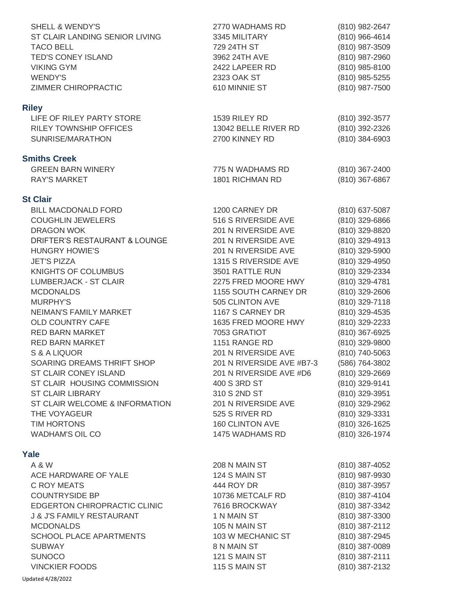| <b>SHELL &amp; WENDY'S</b><br>ST CLAIR LANDING SENIOR LIVING<br><b>TACO BELL</b><br>TED'S CONEY ISLAND<br><b>VIKING GYM</b><br><b>WENDY'S</b><br>ZIMMER CHIROPRACTIC                                                                                                                                                                                                                                                                                                                                                                                                                           | 2770 WADHAMS RD<br>3345 MILITARY<br>729 24TH ST<br>3962 24TH AVE<br>2422 LAPEER RD<br>2323 OAK ST<br>610 MINNIE ST                                                                                                                                                                                                                                                                                                                                                                                | (810) 982-2647<br>(810) 966-4614<br>(810) 987-3509<br>(810) 987-2960<br>(810) 985-8100<br>(810) 985-5255<br>(810) 987-7500                                                                                                                                                                                                                                                                                                 |
|------------------------------------------------------------------------------------------------------------------------------------------------------------------------------------------------------------------------------------------------------------------------------------------------------------------------------------------------------------------------------------------------------------------------------------------------------------------------------------------------------------------------------------------------------------------------------------------------|---------------------------------------------------------------------------------------------------------------------------------------------------------------------------------------------------------------------------------------------------------------------------------------------------------------------------------------------------------------------------------------------------------------------------------------------------------------------------------------------------|----------------------------------------------------------------------------------------------------------------------------------------------------------------------------------------------------------------------------------------------------------------------------------------------------------------------------------------------------------------------------------------------------------------------------|
| <b>Riley</b>                                                                                                                                                                                                                                                                                                                                                                                                                                                                                                                                                                                   |                                                                                                                                                                                                                                                                                                                                                                                                                                                                                                   |                                                                                                                                                                                                                                                                                                                                                                                                                            |
| LIFE OF RILEY PARTY STORE<br><b>RILEY TOWNSHIP OFFICES</b><br>SUNRISE/MARATHON                                                                                                                                                                                                                                                                                                                                                                                                                                                                                                                 | 1539 RILEY RD<br>13042 BELLE RIVER RD<br>2700 KINNEY RD                                                                                                                                                                                                                                                                                                                                                                                                                                           | (810) 392-3577<br>(810) 392-2326<br>(810) 384-6903                                                                                                                                                                                                                                                                                                                                                                         |
| <b>Smiths Creek</b>                                                                                                                                                                                                                                                                                                                                                                                                                                                                                                                                                                            |                                                                                                                                                                                                                                                                                                                                                                                                                                                                                                   |                                                                                                                                                                                                                                                                                                                                                                                                                            |
| <b>GREEN BARN WINERY</b><br><b>RAY'S MARKET</b>                                                                                                                                                                                                                                                                                                                                                                                                                                                                                                                                                | 775 N WADHAMS RD<br>1801 RICHMAN RD                                                                                                                                                                                                                                                                                                                                                                                                                                                               | (810) 367-2400<br>(810) 367-6867                                                                                                                                                                                                                                                                                                                                                                                           |
| <b>St Clair</b>                                                                                                                                                                                                                                                                                                                                                                                                                                                                                                                                                                                |                                                                                                                                                                                                                                                                                                                                                                                                                                                                                                   |                                                                                                                                                                                                                                                                                                                                                                                                                            |
| <b>BILL MACDONALD FORD</b><br><b>COUGHLIN JEWELERS</b><br><b>DRAGON WOK</b><br>DRIFTER'S RESTAURANT & LOUNGE<br><b>HUNGRY HOWIE'S</b><br><b>JET'S PIZZA</b><br><b>KNIGHTS OF COLUMBUS</b><br><b>LUMBERJACK - ST CLAIR</b><br><b>MCDONALDS</b><br><b>MURPHY'S</b><br>NEIMAN'S FAMILY MARKET<br>OLD COUNTRY CAFE<br><b>RED BARN MARKET</b><br><b>RED BARN MARKET</b><br>S & A LIQUOR<br>SOARING DREAMS THRIFT SHOP<br>ST CLAIR CONEY ISLAND<br>ST CLAIR HOUSING COMMISSION<br><b>ST CLAIR LIBRARY</b><br>ST CLAIR WELCOME & INFORMATION<br>THE VOYAGEUR<br>TIM HORTONS<br><b>WADHAM'S OIL CO</b> | 1200 CARNEY DR<br>516 S RIVERSIDE AVE<br>201 N RIVERSIDE AVE<br>201 N RIVERSIDE AVE<br>201 N RIVERSIDE AVE<br>1315 S RIVERSIDE AVE<br>3501 RATTLE RUN<br>2275 FRED MOORE HWY<br>1155 SOUTH CARNEY DR<br>505 CLINTON AVE<br>1167 S CARNEY DR<br>1635 FRED MOORE HWY<br>7053 GRATIOT<br>1151 RANGE RD<br>201 N RIVERSIDE AVE<br>201 N RIVERSIDE AVE #B7-3<br>201 N RIVERSIDE AVE #D6<br>400 S 3RD ST<br>310 S 2ND ST<br>201 N RIVERSIDE AVE<br>525 S RIVER RD<br>160 CLINTON AVE<br>1475 WADHAMS RD | (810) 637-5087<br>(810) 329-6866<br>(810) 329-8820<br>(810) 329-4913<br>(810) 329-5900<br>(810) 329-4950<br>(810) 329-2334<br>(810) 329-4781<br>(810) 329-2606<br>(810) 329-7118<br>(810) 329-4535<br>(810) 329-2233<br>(810) 367-6925<br>(810) 329-9800<br>(810) 740-5063<br>(586) 764-3802<br>(810) 329-2669<br>(810) 329-9141<br>(810) 329-3951<br>(810) 329-2962<br>(810) 329-3331<br>(810) 326-1625<br>(810) 326-1974 |
| Yale                                                                                                                                                                                                                                                                                                                                                                                                                                                                                                                                                                                           |                                                                                                                                                                                                                                                                                                                                                                                                                                                                                                   |                                                                                                                                                                                                                                                                                                                                                                                                                            |
| A & W<br>ACE HARDWARE OF YALE<br>C ROY MEATS<br><b>COUNTRYSIDE BP</b><br><b>EDGERTON CHIROPRACTIC CLINIC</b><br><b>J &amp; J'S FAMILY RESTAURANT</b><br><b>MCDONALDS</b><br><b>SCHOOL PLACE APARTMENTS</b><br><b>SUBWAY</b><br><b>SUNOCO</b><br><b>VINCKIER FOODS</b><br>Updated 4/28/2022                                                                                                                                                                                                                                                                                                     | 208 N MAIN ST<br>124 S MAIN ST<br>444 ROY DR<br>10736 METCALF RD<br>7616 BROCKWAY<br>1 N MAIN ST<br>105 N MAIN ST<br>103 W MECHANIC ST<br>8 N MAIN ST<br>121 S MAIN ST<br>115 S MAIN ST                                                                                                                                                                                                                                                                                                           | (810) 387-4052<br>(810) 987-9930<br>(810) 387-3957<br>(810) 387-4104<br>(810) 387-3342<br>(810) 387-3300<br>(810) 387-2112<br>(810) 387-2945<br>(810) 387-0089<br>(810) 387-2111<br>(810) 387-2132                                                                                                                                                                                                                         |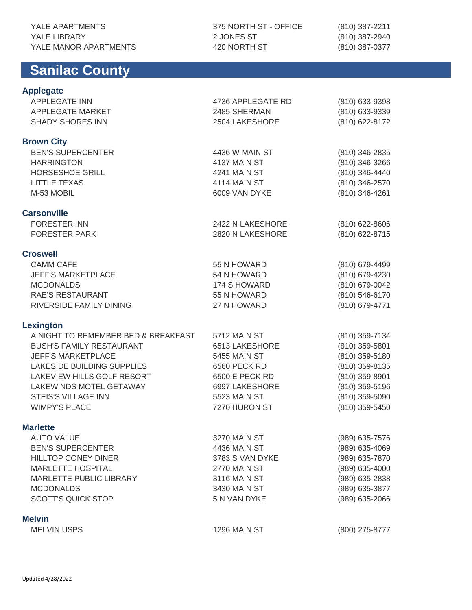# **Sanilac County**

**Applegate**

### 375 NORTH ST - OFFICE 2 JONES ST 420 NORTH ST

(810) 387-2211 (810) 387-2940 (810) 387-0377

| <b>APPLEGATE INN</b>                | 4736 APPLEGATE RD | (810) 633-9398 |
|-------------------------------------|-------------------|----------------|
| APPLEGATE MARKET                    | 2485 SHERMAN      | (810) 633-9339 |
| <b>SHADY SHORES INN</b>             | 2504 LAKESHORE    | (810) 622-8172 |
| <b>Brown City</b>                   |                   |                |
| <b>BEN'S SUPERCENTER</b>            | 4436 W MAIN ST    | (810) 346-2835 |
| <b>HARRINGTON</b>                   | 4137 MAIN ST      | (810) 346-3266 |
| <b>HORSESHOE GRILL</b>              | 4241 MAIN ST      | (810) 346-4440 |
| <b>LITTLE TEXAS</b>                 | 4114 MAIN ST      | (810) 346-2570 |
| M-53 MOBIL                          | 6009 VAN DYKE     | (810) 346-4261 |
| <b>Carsonville</b>                  |                   |                |
| <b>FORESTER INN</b>                 | 2422 N LAKESHORE  | (810) 622-8606 |
| <b>FORESTER PARK</b>                | 2820 N LAKESHORE  | (810) 622-8715 |
| <b>Croswell</b>                     |                   |                |
| <b>CAMM CAFE</b>                    | 55 N HOWARD       | (810) 679-4499 |
| <b>JEFF'S MARKETPLACE</b>           | 54 N HOWARD       | (810) 679-4230 |
| <b>MCDONALDS</b>                    | 174 S HOWARD      | (810) 679-0042 |
| <b>RAE'S RESTAURANT</b>             | 55 N HOWARD       | (810) 546-6170 |
| RIVERSIDE FAMILY DINING             | 27 N HOWARD       | (810) 679-4771 |
| <b>Lexington</b>                    |                   |                |
| A NIGHT TO REMEMBER BED & BREAKFAST | 5712 MAIN ST      | (810) 359-7134 |
| <b>BUSH'S FAMILY RESTAURANT</b>     | 6513 LAKESHORE    | (810) 359-5801 |
| <b>JEFF'S MARKETPLACE</b>           | 5455 MAIN ST      | (810) 359-5180 |
| <b>LAKESIDE BUILDING SUPPLIES</b>   | 6560 PECK RD      | (810) 359-8135 |
| LAKEVIEW HILLS GOLF RESORT          | 6500 E PECK RD    | (810) 359-8901 |
| LAKEWINDS MOTEL GETAWAY             | 6997 LAKESHORE    | (810) 359-5196 |
| <b>STEIS'S VILLAGE INN</b>          | 5523 MAIN ST      | (810) 359-5090 |
| <b>WIMPY'S PLACE</b>                | 7270 HURON ST     | (810) 359-5450 |
| <b>Marlette</b>                     |                   |                |
| <b>AUTO VALUE</b>                   | 3270 MAIN ST      | (989) 635-7576 |
| <b>BEN'S SUPERCENTER</b>            | 4436 MAIN ST      | (989) 635-4069 |
| <b>HILLTOP CONEY DINER</b>          | 3783 S VAN DYKE   | (989) 635-7870 |
| MARLETTE HOSPITAL                   | 2770 MAIN ST      | (989) 635-4000 |
| MARLETTE PUBLIC LIBRARY             | 3116 MAIN ST      | (989) 635-2838 |
| <b>MCDONALDS</b>                    | 3430 MAIN ST      | (989) 635-3877 |
| <b>SCOTT'S QUICK STOP</b>           | 5 N VAN DYKE      | (989) 635-2066 |
| <b>Melvin</b>                       |                   |                |
| <b>MELVIN USPS</b>                  | 1296 MAIN ST      | (800) 275-8777 |